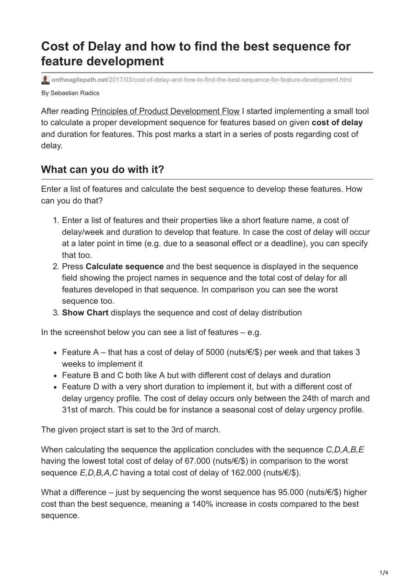## **Cost of Delay and how to find the best sequence for feature development**

By Sebastian Radics **ontheagilepath.net**[/2017/03/cost-of-delay-and-how-to-find-the-best-sequence-for-feature-development.html](https://www.ontheagilepath.net/2017/03/cost-of-delay-and-how-to-find-the-best-sequence-for-feature-development.html)

After reading [Principles of Product Development Flow](http://www.ontheagilepath.net/2017/02/key-take-aways-from-the-principles-of-product-development-flow.html) I started implementing a small tool to calculate a proper development sequence for features based on given **cost of delay** and duration for features. This post marks a start in a series of posts regarding cost of delay.

## **What can you do with it?**

Enter a list of features and calculate the best sequence to develop these features. How can you do that?

- 1. Enter a list of features and their properties like a short feature name, a cost of delay/week and duration to develop that feature. In case the cost of delay will occur at a later point in time (e.g. due to a seasonal effect or a deadline), you can specify that too.
- 2. Press **Calculate sequence** and the best sequence is displayed in the sequence field showing the project names in sequence and the total cost of delay for all features developed in that sequence. In comparison you can see the worst sequence too.
- 3. **Show Chart** displays the sequence and cost of delay distribution

In the screenshot below you can see a list of features  $-$  e.g.

- Feature A that has a cost of delay of 5000 (nuts/ $\epsilon$ /\$) per week and that takes 3 weeks to implement it
- Feature B and C both like A but with different cost of delays and duration
- Feature D with a very short duration to implement it, but with a different cost of delay urgency profile. The cost of delay occurs only between the 24th of march and 31st of march. This could be for instance a seasonal cost of delay urgency profile.

The given project start is set to the 3rd of march.

When calculating the sequence the application concludes with the sequence *C,D,A,B,E* having the lowest total cost of delay of 67.000 (nuts/€/\$) in comparison to the worst sequence *E,D,B,A,C* having a total cost of delay of 162.000 (nuts/€/\$).

What a difference – just by sequencing the worst sequence has 95.000 (nuts/€/\$) higher cost than the best sequence, meaning a 140% increase in costs compared to the best sequence.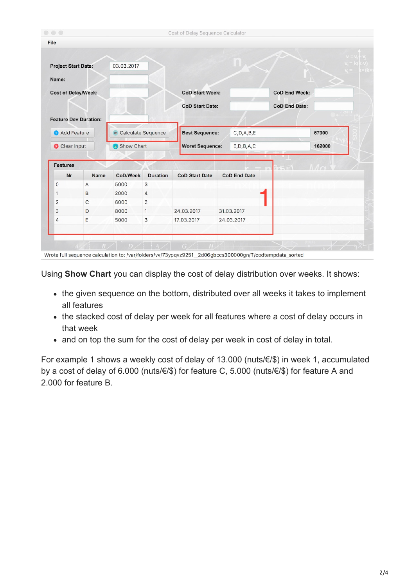| File                                |                              |                                                        |                 |                                        |                     |                      |          |            |
|-------------------------------------|------------------------------|--------------------------------------------------------|-----------------|----------------------------------------|---------------------|----------------------|----------|------------|
| <b>Project Start Date:</b>          |                              | 03.03.2017                                             |                 |                                        |                     |                      |          | $V = V$    |
| Name:                               |                              |                                                        |                 |                                        |                     |                      |          |            |
| <b>Cost of Delay/Week:</b>          |                              |                                                        |                 | <b>CoD Start Week:</b>                 |                     | <b>CoD End Week:</b> |          |            |
|                                     |                              |                                                        |                 | <b>CoD Start Date:</b>                 |                     | <b>CoD End Date:</b> |          |            |
|                                     | <b>Feature Dev Duration:</b> |                                                        |                 |                                        |                     |                      |          | $\bigcirc$ |
| Add Feature<br><b>C</b> Clear Input |                              | <b>Calculate Sequence</b><br>85<br><b>B</b> Show Chart |                 | <b>Best Sequence:</b><br>C, D, A, B, E |                     |                      | 67000    |            |
|                                     |                              |                                                        |                 |                                        |                     | E, D, B, A, C        |          |            |
|                                     |                              |                                                        |                 | <b>Worst Sequence:</b>                 |                     |                      | 162000   |            |
|                                     |                              |                                                        |                 |                                        |                     |                      |          |            |
| <b>Features</b><br>Nr               | Name                         | CoD/Week                                               | <b>Duration</b> | <b>CoD Start Date</b>                  | <b>CoD End Date</b> |                      | $1/\sim$ |            |
| 0                                   | A                            | 5000                                                   | 3               |                                        |                     |                      |          |            |
| 1                                   | B                            | 2000                                                   | $\overline{4}$  |                                        |                     |                      |          |            |
| $\overline{2}$                      | C                            | 6000                                                   | $\overline{2}$  |                                        |                     |                      |          |            |
| 3                                   | D                            | 8000                                                   | 1               | 24.03.2017                             | 31.03.2017          |                      |          |            |

Using **Show Chart** you can display the cost of delay distribution over weeks. It shows:

- the given sequence on the bottom, distributed over all weeks it takes to implement all features
- the stacked cost of delay per week for all features where a cost of delay occurs in that week
- and on top the sum for the cost of delay per week in cost of delay in total.

For example 1 shows a weekly cost of delay of 13.000 (nuts/€/\$) in week 1, accumulated by a cost of delay of 6.000 (nuts/€/\$) for feature C, 5.000 (nuts/€/\$) for feature A and 2.000 for feature B.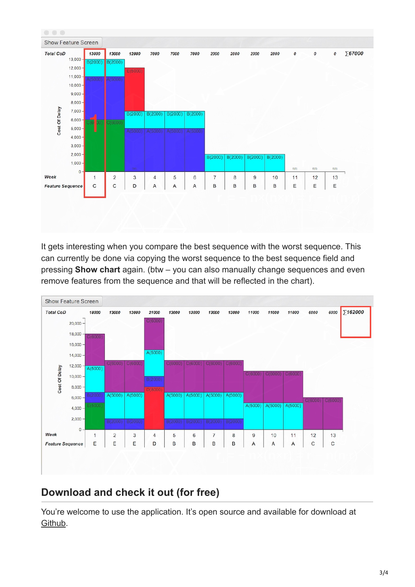

It gets interesting when you compare the best sequence with the worst sequence. This can currently be done via copying the worst sequence to the best sequence field and pressing **Show chart** again. (btw – you can also manually change sequences and even remove features from the sequence and that will be reflected in the chart).



## **Download and check it out (for free)**

You're welcome to use the application. It's open source and available for download at [Github.](https://github.com/sradics/cod)